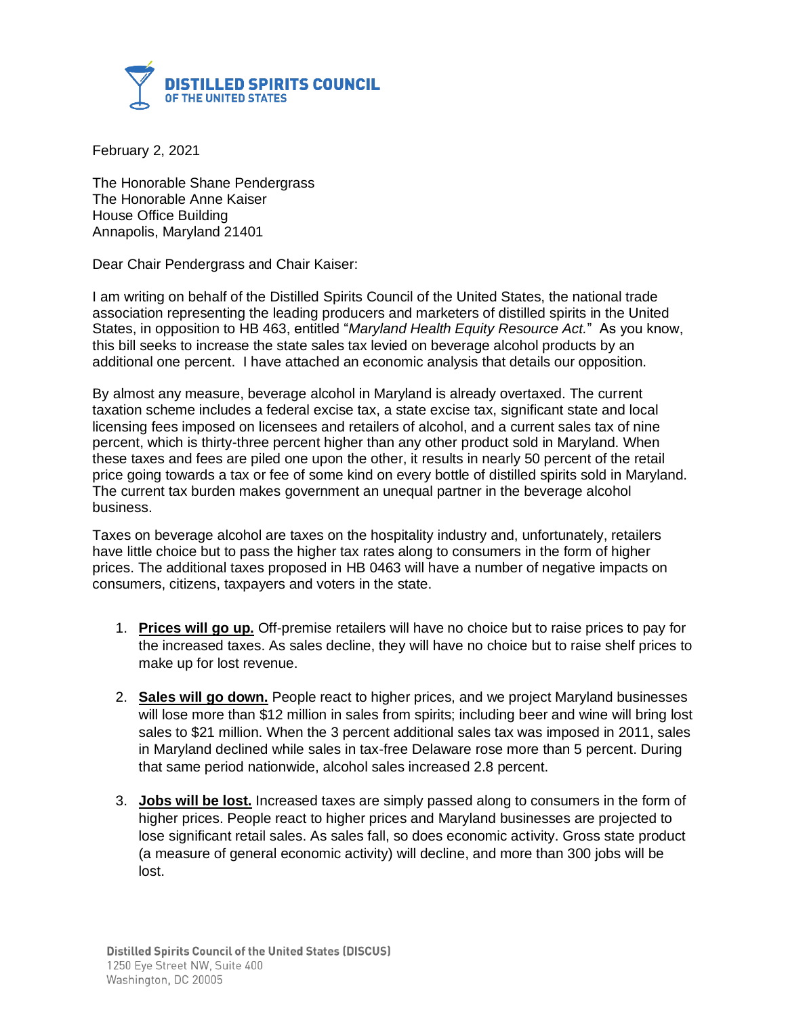

February 2, 2021

The Honorable Shane Pendergrass The Honorable Anne Kaiser House Office Building Annapolis, Maryland 21401

Dear Chair Pendergrass and Chair Kaiser:

I am writing on behalf of the Distilled Spirits Council of the United States, the national trade association representing the leading producers and marketers of distilled spirits in the United States, in opposition to HB 463, entitled "*Maryland Health Equity Resource Act.*" As you know, this bill seeks to increase the state sales tax levied on beverage alcohol products by an additional one percent. I have attached an economic analysis that details our opposition.

By almost any measure, beverage alcohol in Maryland is already overtaxed. The current taxation scheme includes a federal excise tax, a state excise tax, significant state and local licensing fees imposed on licensees and retailers of alcohol, and a current sales tax of nine percent, which is thirty-three percent higher than any other product sold in Maryland. When these taxes and fees are piled one upon the other, it results in nearly 50 percent of the retail price going towards a tax or fee of some kind on every bottle of distilled spirits sold in Maryland. The current tax burden makes government an unequal partner in the beverage alcohol business.

Taxes on beverage alcohol are taxes on the hospitality industry and, unfortunately, retailers have little choice but to pass the higher tax rates along to consumers in the form of higher prices. The additional taxes proposed in HB 0463 will have a number of negative impacts on consumers, citizens, taxpayers and voters in the state.

- 1. **Prices will go up.** Off-premise retailers will have no choice but to raise prices to pay for the increased taxes. As sales decline, they will have no choice but to raise shelf prices to make up for lost revenue.
- 2. **Sales will go down.** People react to higher prices, and we project Maryland businesses will lose more than \$12 million in sales from spirits; including beer and wine will bring lost sales to \$21 million. When the 3 percent additional sales tax was imposed in 2011, sales in Maryland declined while sales in tax-free Delaware rose more than 5 percent. During that same period nationwide, alcohol sales increased 2.8 percent.
- 3. **Jobs will be lost.** Increased taxes are simply passed along to consumers in the form of higher prices. People react to higher prices and Maryland businesses are projected to lose significant retail sales. As sales fall, so does economic activity. Gross state product (a measure of general economic activity) will decline, and more than 300 jobs will be lost.